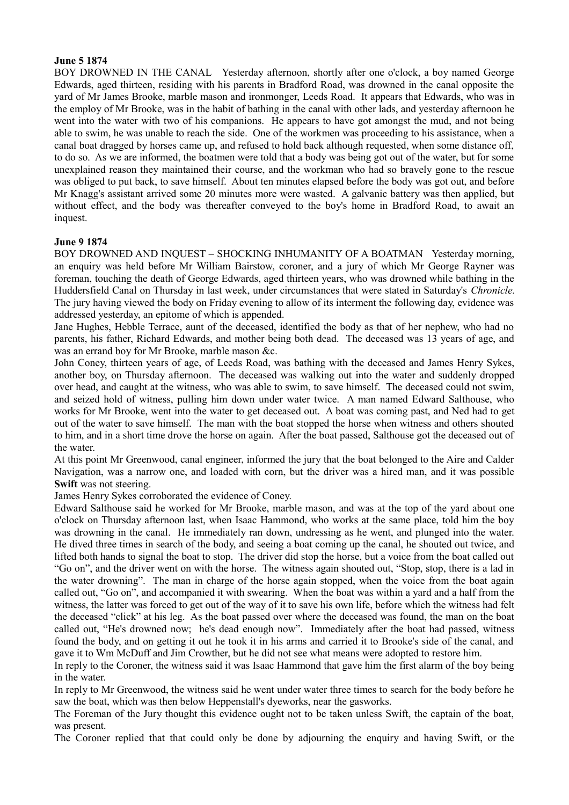## **June 5 1874**

BOY DROWNED IN THE CANAL Yesterday afternoon, shortly after one o'clock, a boy named George Edwards, aged thirteen, residing with his parents in Bradford Road, was drowned in the canal opposite the yard of Mr James Brooke, marble mason and ironmonger, Leeds Road. It appears that Edwards, who was in the employ of Mr Brooke, was in the habit of bathing in the canal with other lads, and yesterday afternoon he went into the water with two of his companions. He appears to have got amongst the mud, and not being able to swim, he was unable to reach the side. One of the workmen was proceeding to his assistance, when a canal boat dragged by horses came up, and refused to hold back although requested, when some distance off, to do so. As we are informed, the boatmen were told that a body was being got out of the water, but for some unexplained reason they maintained their course, and the workman who had so bravely gone to the rescue was obliged to put back, to save himself. About ten minutes elapsed before the body was got out, and before Mr Knagg's assistant arrived some 20 minutes more were wasted. A galvanic battery was then applied, but without effect, and the body was thereafter conveyed to the boy's home in Bradford Road, to await an inquest.

## **June 9 1874**

BOY DROWNED AND INQUEST – SHOCKING INHUMANITY OF A BOATMAN Yesterday morning, an enquiry was held before Mr William Bairstow, coroner, and a jury of which Mr George Rayner was foreman, touching the death of George Edwards, aged thirteen years, who was drowned while bathing in the Huddersfield Canal on Thursday in last week, under circumstances that were stated in Saturday's *Chronicle.* The jury having viewed the body on Friday evening to allow of its interment the following day, evidence was addressed yesterday, an epitome of which is appended.

Jane Hughes, Hebble Terrace, aunt of the deceased, identified the body as that of her nephew, who had no parents, his father, Richard Edwards, and mother being both dead. The deceased was 13 years of age, and was an errand boy for Mr Brooke, marble mason &c.

John Coney, thirteen years of age, of Leeds Road, was bathing with the deceased and James Henry Sykes, another boy, on Thursday afternoon. The deceased was walking out into the water and suddenly dropped over head, and caught at the witness, who was able to swim, to save himself. The deceased could not swim, and seized hold of witness, pulling him down under water twice. A man named Edward Salthouse, who works for Mr Brooke, went into the water to get deceased out. A boat was coming past, and Ned had to get out of the water to save himself. The man with the boat stopped the horse when witness and others shouted to him, and in a short time drove the horse on again. After the boat passed, Salthouse got the deceased out of the water.

At this point Mr Greenwood, canal engineer, informed the jury that the boat belonged to the Aire and Calder Navigation, was a narrow one, and loaded with corn, but the driver was a hired man, and it was possible **Swift** was not steering.

James Henry Sykes corroborated the evidence of Coney.

Edward Salthouse said he worked for Mr Brooke, marble mason, and was at the top of the yard about one o'clock on Thursday afternoon last, when Isaac Hammond, who works at the same place, told him the boy was drowning in the canal. He immediately ran down, undressing as he went, and plunged into the water. He dived three times in search of the body, and seeing a boat coming up the canal, he shouted out twice, and lifted both hands to signal the boat to stop. The driver did stop the horse, but a voice from the boat called out "Go on", and the driver went on with the horse. The witness again shouted out, "Stop, stop, there is a lad in the water drowning". The man in charge of the horse again stopped, when the voice from the boat again called out, "Go on", and accompanied it with swearing. When the boat was within a yard and a half from the witness, the latter was forced to get out of the way of it to save his own life, before which the witness had felt the deceased "click" at his leg. As the boat passed over where the deceased was found, the man on the boat called out, "He's drowned now; he's dead enough now". Immediately after the boat had passed, witness found the body, and on getting it out he took it in his arms and carried it to Brooke's side of the canal, and gave it to Wm McDuff and Jim Crowther, but he did not see what means were adopted to restore him.

In reply to the Coroner, the witness said it was Isaac Hammond that gave him the first alarm of the boy being in the water.

In reply to Mr Greenwood, the witness said he went under water three times to search for the body before he saw the boat, which was then below Heppenstall's dyeworks, near the gasworks.

The Foreman of the Jury thought this evidence ought not to be taken unless Swift, the captain of the boat, was present.

The Coroner replied that that could only be done by adjourning the enquiry and having Swift, or the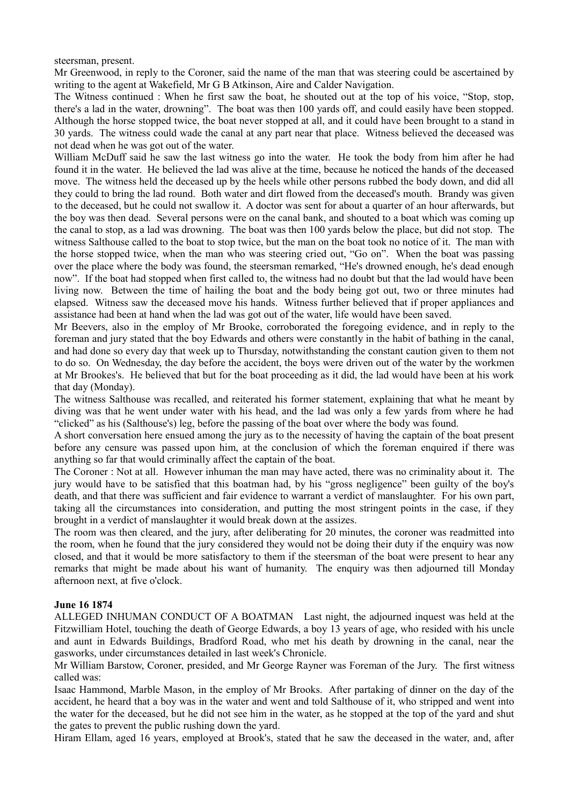steersman, present.

Mr Greenwood, in reply to the Coroner, said the name of the man that was steering could be ascertained by writing to the agent at Wakefield, Mr G B Atkinson, Aire and Calder Navigation.

The Witness continued : When he first saw the boat, he shouted out at the top of his voice, "Stop, stop, there's a lad in the water, drowning". The boat was then 100 yards off, and could easily have been stopped. Although the horse stopped twice, the boat never stopped at all, and it could have been brought to a stand in 30 yards. The witness could wade the canal at any part near that place. Witness believed the deceased was not dead when he was got out of the water.

William McDuff said he saw the last witness go into the water. He took the body from him after he had found it in the water. He believed the lad was alive at the time, because he noticed the hands of the deceased move. The witness held the deceased up by the heels while other persons rubbed the body down, and did all they could to bring the lad round. Both water and dirt flowed from the deceased's mouth. Brandy was given to the deceased, but he could not swallow it. A doctor was sent for about a quarter of an hour afterwards, but the boy was then dead. Several persons were on the canal bank, and shouted to a boat which was coming up the canal to stop, as a lad was drowning. The boat was then 100 yards below the place, but did not stop. The witness Salthouse called to the boat to stop twice, but the man on the boat took no notice of it. The man with the horse stopped twice, when the man who was steering cried out, "Go on". When the boat was passing over the place where the body was found, the steersman remarked, "He's drowned enough, he's dead enough now". If the boat had stopped when first called to, the witness had no doubt but that the lad would have been living now. Between the time of hailing the boat and the body being got out, two or three minutes had elapsed. Witness saw the deceased move his hands. Witness further believed that if proper appliances and assistance had been at hand when the lad was got out of the water, life would have been saved.

Mr Beevers, also in the employ of Mr Brooke, corroborated the foregoing evidence, and in reply to the foreman and jury stated that the boy Edwards and others were constantly in the habit of bathing in the canal, and had done so every day that week up to Thursday, notwithstanding the constant caution given to them not to do so. On Wednesday, the day before the accident, the boys were driven out of the water by the workmen at Mr Brookes's. He believed that but for the boat proceeding as it did, the lad would have been at his work that day (Monday).

The witness Salthouse was recalled, and reiterated his former statement, explaining that what he meant by diving was that he went under water with his head, and the lad was only a few yards from where he had "clicked" as his (Salthouse's) leg, before the passing of the boat over where the body was found.

A short conversation here ensued among the jury as to the necessity of having the captain of the boat present before any censure was passed upon him, at the conclusion of which the foreman enquired if there was anything so far that would criminally affect the captain of the boat.

The Coroner : Not at all. However inhuman the man may have acted, there was no criminality about it. The jury would have to be satisfied that this boatman had, by his "gross negligence" been guilty of the boy's death, and that there was sufficient and fair evidence to warrant a verdict of manslaughter. For his own part, taking all the circumstances into consideration, and putting the most stringent points in the case, if they brought in a verdict of manslaughter it would break down at the assizes.

The room was then cleared, and the jury, after deliberating for 20 minutes, the coroner was readmitted into the room, when he found that the jury considered they would not be doing their duty if the enquiry was now closed, and that it would be more satisfactory to them if the steersman of the boat were present to hear any remarks that might be made about his want of humanity. The enquiry was then adjourned till Monday afternoon next, at five o'clock.

## **June 16 1874**

ALLEGED INHUMAN CONDUCT OF A BOATMAN Last night, the adjourned inquest was held at the Fitzwilliam Hotel, touching the death of George Edwards, a boy 13 years of age, who resided with his uncle and aunt in Edwards Buildings, Bradford Road, who met his death by drowning in the canal, near the gasworks, under circumstances detailed in last week's Chronicle.

Mr William Barstow, Coroner, presided, and Mr George Rayner was Foreman of the Jury. The first witness called was:

Isaac Hammond, Marble Mason, in the employ of Mr Brooks. After partaking of dinner on the day of the accident, he heard that a boy was in the water and went and told Salthouse of it, who stripped and went into the water for the deceased, but he did not see him in the water, as he stopped at the top of the yard and shut the gates to prevent the public rushing down the yard.

Hiram Ellam, aged 16 years, employed at Brook's, stated that he saw the deceased in the water, and, after